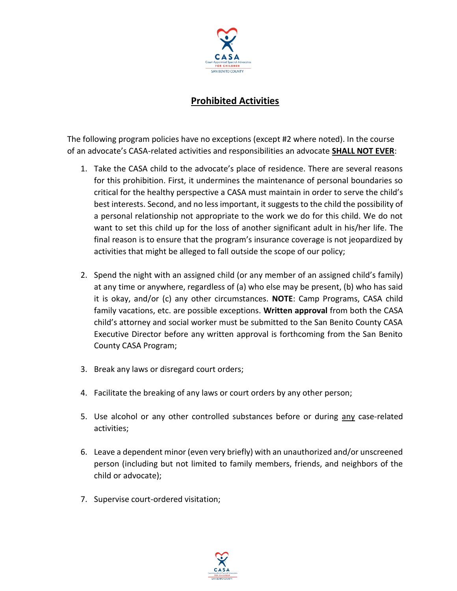

## **Prohibited Activities**

The following program policies have no exceptions (except #2 where noted). In the course of an advocate's CASA-related activities and responsibilities an advocate **SHALL NOT EVER**:

- 1. Take the CASA child to the advocate's place of residence. There are several reasons for this prohibition. First, it undermines the maintenance of personal boundaries so critical for the healthy perspective a CASA must maintain in order to serve the child's best interests. Second, and no less important, it suggests to the child the possibility of a personal relationship not appropriate to the work we do for this child. We do not want to set this child up for the loss of another significant adult in his/her life. The final reason is to ensure that the program's insurance coverage is not jeopardized by activities that might be alleged to fall outside the scope of our policy;
- 2. Spend the night with an assigned child (or any member of an assigned child's family) at any time or anywhere, regardless of (a) who else may be present, (b) who has said it is okay, and/or (c) any other circumstances. **NOTE**: Camp Programs, CASA child family vacations, etc. are possible exceptions. **Written approval** from both the CASA child's attorney and social worker must be submitted to the San Benito County CASA Executive Director before any written approval is forthcoming from the San Benito County CASA Program;
- 3. Break any laws or disregard court orders;
- 4. Facilitate the breaking of any laws or court orders by any other person;
- 5. Use alcohol or any other controlled substances before or during any case-related activities;
- 6. Leave a dependent minor (even very briefly) with an unauthorized and/or unscreened person (including but not limited to family members, friends, and neighbors of the child or advocate);
- 7. Supervise court-ordered visitation;

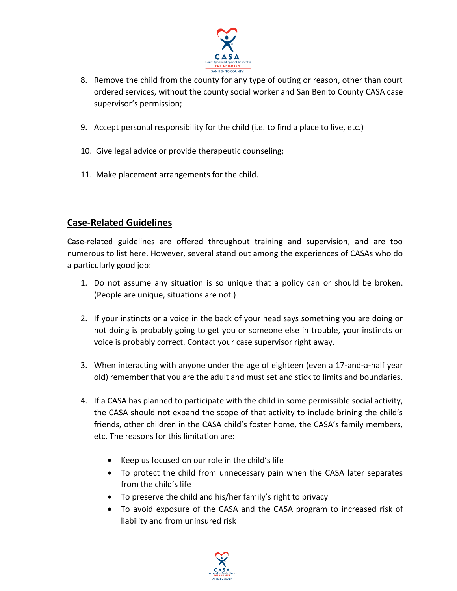

- 8. Remove the child from the county for any type of outing or reason, other than court ordered services, without the county social worker and San Benito County CASA case supervisor's permission;
- 9. Accept personal responsibility for the child (i.e. to find a place to live, etc.)
- 10. Give legal advice or provide therapeutic counseling;
- 11. Make placement arrangements for the child.

## **Case-Related Guidelines**

Case-related guidelines are offered throughout training and supervision, and are too numerous to list here. However, several stand out among the experiences of CASAs who do a particularly good job:

- 1. Do not assume any situation is so unique that a policy can or should be broken. (People are unique, situations are not.)
- 2. If your instincts or a voice in the back of your head says something you are doing or not doing is probably going to get you or someone else in trouble, your instincts or voice is probably correct. Contact your case supervisor right away.
- 3. When interacting with anyone under the age of eighteen (even a 17-and-a-half year old) remember that you are the adult and must set and stick to limits and boundaries.
- 4. If a CASA has planned to participate with the child in some permissible social activity, the CASA should not expand the scope of that activity to include brining the child's friends, other children in the CASA child's foster home, the CASA's family members, etc. The reasons for this limitation are:
	- Keep us focused on our role in the child's life
	- To protect the child from unnecessary pain when the CASA later separates from the child's life
	- To preserve the child and his/her family's right to privacy
	- To avoid exposure of the CASA and the CASA program to increased risk of liability and from uninsured risk